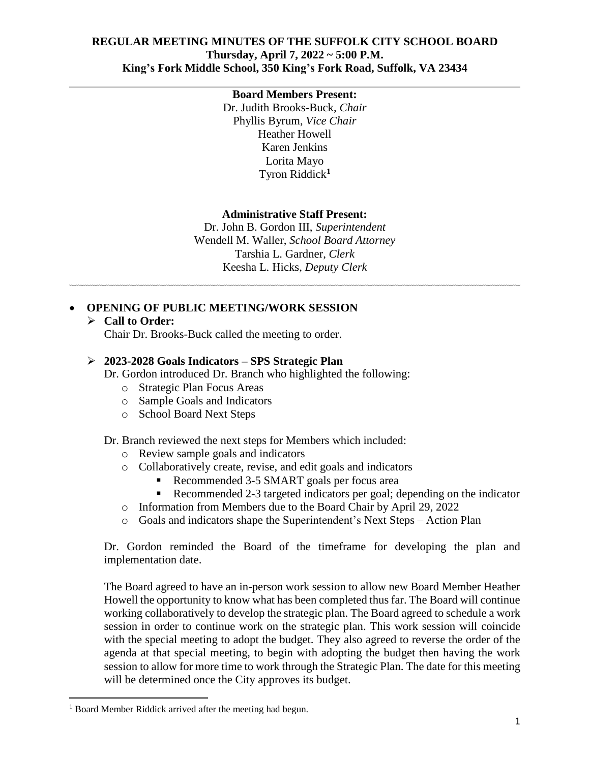#### **REGULAR MEETING MINUTES OF THE SUFFOLK CITY SCHOOL BOARD Thursday, April 7, 2022 ~ 5:00 P.M. King's Fork Middle School, 350 King's Fork Road, Suffolk, VA 23434**

#### **Board Members Present:**

Dr. Judith Brooks-Buck, *Chair* Phyllis Byrum, *Vice Chair* Heather Howell Karen Jenkins Lorita Mayo Tyron Riddick**<sup>1</sup>**

#### **Administrative Staff Present:**

Dr. John B. Gordon III, *Superintendent* Wendell M. Waller, *School Board Attorney* Tarshia L. Gardner, *Clerk* Keesha L. Hicks, *Deputy Clerk*

# **OPENING OF PUBLIC MEETING/WORK SESSION**

## **Call to Order:**

Chair Dr. Brooks-Buck called the meeting to order.

#### **2023-2028 Goals Indicators – SPS Strategic Plan**

Dr. Gordon introduced Dr. Branch who highlighted the following:

- o Strategic Plan Focus Areas
- o Sample Goals and Indicators
- o School Board Next Steps

Dr. Branch reviewed the next steps for Members which included:

- o Review sample goals and indicators
- o Collaboratively create, revise, and edit goals and indicators
	- Recommended 3-5 SMART goals per focus area<br>Recommended 2-3 targeted indicators per goal: d
	- Recommended 2-3 targeted indicators per goal; depending on the indicator
- o Information from Members due to the Board Chair by April 29, 2022
- o Goals and indicators shape the Superintendent's Next Steps Action Plan

Dr. Gordon reminded the Board of the timeframe for developing the plan and implementation date.

The Board agreed to have an in-person work session to allow new Board Member Heather Howell the opportunity to know what has been completed thus far. The Board will continue working collaboratively to develop the strategic plan. The Board agreed to schedule a work session in order to continue work on the strategic plan. This work session will coincide with the special meeting to adopt the budget. They also agreed to reverse the order of the agenda at that special meeting, to begin with adopting the budget then having the work session to allow for more time to work through the Strategic Plan. The date for this meeting will be determined once the City approves its budget.

 $\overline{a}$ 

<sup>&</sup>lt;sup>1</sup> Board Member Riddick arrived after the meeting had begun.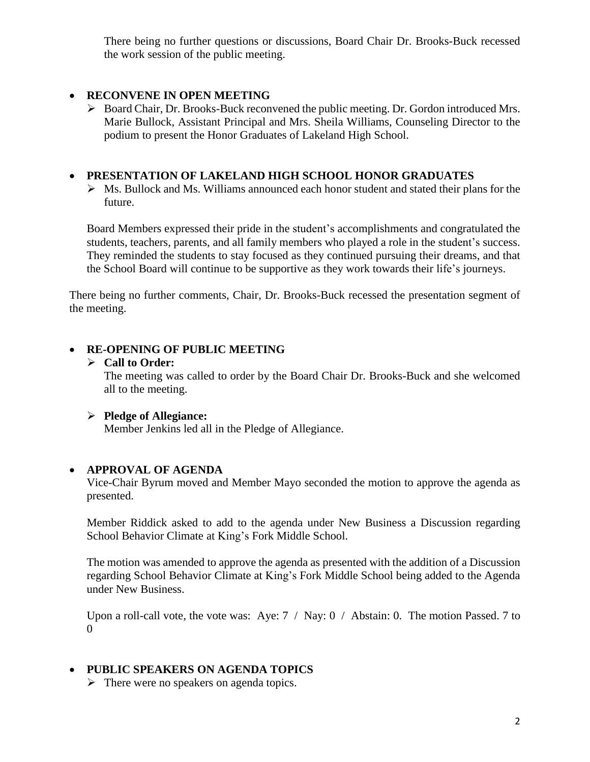There being no further questions or discussions, Board Chair Dr. Brooks-Buck recessed the work session of the public meeting.

### **RECONVENE IN OPEN MEETING**

 Board Chair, Dr. Brooks-Buck reconvened the public meeting. Dr. Gordon introduced Mrs. Marie Bullock, Assistant Principal and Mrs. Sheila Williams, Counseling Director to the podium to present the Honor Graduates of Lakeland High School.

### **PRESENTATION OF LAKELAND HIGH SCHOOL HONOR GRADUATES**

 $\triangleright$  Ms. Bullock and Ms. Williams announced each honor student and stated their plans for the future.

Board Members expressed their pride in the student's accomplishments and congratulated the students, teachers, parents, and all family members who played a role in the student's success. They reminded the students to stay focused as they continued pursuing their dreams, and that the School Board will continue to be supportive as they work towards their life's journeys.

There being no further comments, Chair, Dr. Brooks-Buck recessed the presentation segment of the meeting.

# **RE-OPENING OF PUBLIC MEETING**

#### **Call to Order:**

The meeting was called to order by the Board Chair Dr. Brooks-Buck and she welcomed all to the meeting.

### **Pledge of Allegiance:**

Member Jenkins led all in the Pledge of Allegiance.

### **APPROVAL OF AGENDA**

Vice-Chair Byrum moved and Member Mayo seconded the motion to approve the agenda as presented.

Member Riddick asked to add to the agenda under New Business a Discussion regarding School Behavior Climate at King's Fork Middle School.

The motion was amended to approve the agenda as presented with the addition of a Discussion regarding School Behavior Climate at King's Fork Middle School being added to the Agenda under New Business.

Upon a roll-call vote, the vote was: Aye:  $7 / \text{Nay: } 0 / \text{Abstain: } 0$ . The motion Passed. 7 to 0

# **PUBLIC SPEAKERS ON AGENDA TOPICS**

 $\triangleright$  There were no speakers on agenda topics.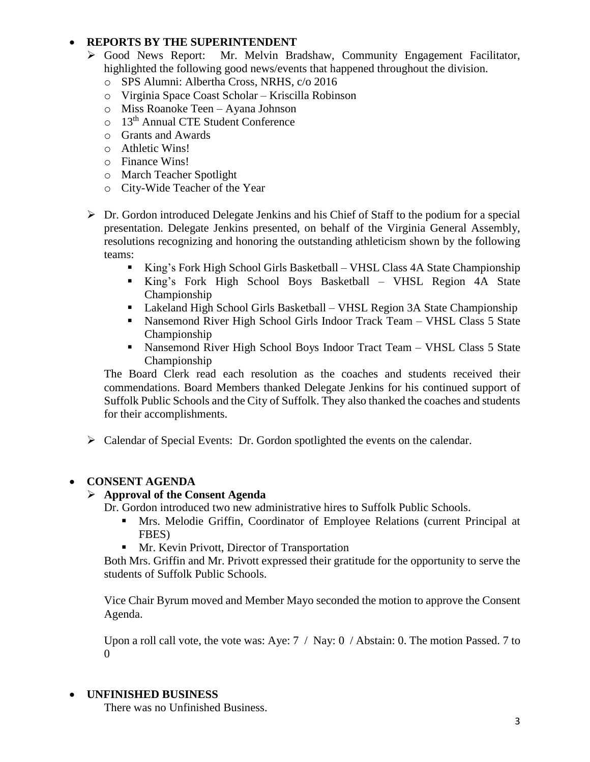# **REPORTS BY THE SUPERINTENDENT**

- Good News Report: Mr. Melvin Bradshaw, Community Engagement Facilitator, highlighted the following good news/events that happened throughout the division.
	- o SPS Alumni: Albertha Cross, NRHS, c/o 2016
	- o Virginia Space Coast Scholar Kriscilla Robinson
	- o Miss Roanoke Teen Ayana Johnson
	- o 13th Annual CTE Student Conference
	- o Grants and Awards
	- o Athletic Wins!
	- o Finance Wins!
	- o March Teacher Spotlight
	- o City-Wide Teacher of the Year
- $\triangleright$  Dr. Gordon introduced Delegate Jenkins and his Chief of Staff to the podium for a special presentation. Delegate Jenkins presented, on behalf of the Virginia General Assembly, resolutions recognizing and honoring the outstanding athleticism shown by the following teams:
	- King's Fork High School Girls Basketball VHSL Class 4A State Championship
	- King's Fork High School Boys Basketball VHSL Region 4A State Championship
	- Lakeland High School Girls Basketball VHSL Region 3A State Championship
	- Nansemond River High School Girls Indoor Track Team VHSL Class 5 State Championship
	- Nansemond River High School Boys Indoor Tract Team VHSL Class 5 State Championship

The Board Clerk read each resolution as the coaches and students received their commendations. Board Members thanked Delegate Jenkins for his continued support of Suffolk Public Schools and the City of Suffolk. They also thanked the coaches and students for their accomplishments.

Calendar of Special Events: Dr. Gordon spotlighted the events on the calendar.

### **CONSENT AGENDA**

### **Approval of the Consent Agenda**

Dr. Gordon introduced two new administrative hires to Suffolk Public Schools.

- Mrs. Melodie Griffin, Coordinator of Employee Relations (current Principal at FBES)
- **Mr. Kevin Privott, Director of Transportation**

Both Mrs. Griffin and Mr. Privott expressed their gratitude for the opportunity to serve the students of Suffolk Public Schools.

Vice Chair Byrum moved and Member Mayo seconded the motion to approve the Consent Agenda.

Upon a roll call vote, the vote was: Aye: 7 / Nay: 0 / Abstain: 0. The motion Passed. 7 to  $\Omega$ 

### **UNFINISHED BUSINESS**

There was no Unfinished Business.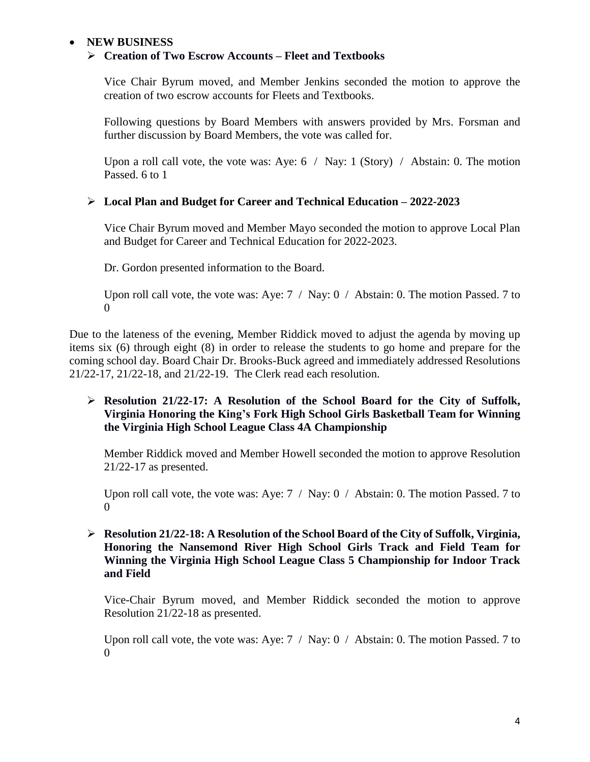## **NEW BUSINESS**

#### **Creation of Two Escrow Accounts – Fleet and Textbooks**

Vice Chair Byrum moved, and Member Jenkins seconded the motion to approve the creation of two escrow accounts for Fleets and Textbooks.

Following questions by Board Members with answers provided by Mrs. Forsman and further discussion by Board Members, the vote was called for.

Upon a roll call vote, the vote was: Aye:  $6 /$  Nay: 1 (Story) / Abstain: 0. The motion Passed. 6 to 1

#### **Local Plan and Budget for Career and Technical Education – 2022-2023**

Vice Chair Byrum moved and Member Mayo seconded the motion to approve Local Plan and Budget for Career and Technical Education for 2022-2023.

Dr. Gordon presented information to the Board.

Upon roll call vote, the vote was: Aye:  $7 / \text{Nay: } 0 / \text{Abstain: } 0$ . The motion Passed. 7 to 0

Due to the lateness of the evening, Member Riddick moved to adjust the agenda by moving up items six (6) through eight (8) in order to release the students to go home and prepare for the coming school day. Board Chair Dr. Brooks-Buck agreed and immediately addressed Resolutions 21/22-17, 21/22-18, and 21/22-19. The Clerk read each resolution.

### **Resolution 21/22-17: A Resolution of the School Board for the City of Suffolk, Virginia Honoring the King's Fork High School Girls Basketball Team for Winning the Virginia High School League Class 4A Championship**

Member Riddick moved and Member Howell seconded the motion to approve Resolution 21/22-17 as presented.

Upon roll call vote, the vote was: Aye: 7 / Nay: 0 / Abstain: 0. The motion Passed. 7 to 0

#### **Resolution 21/22-18: A Resolution of the School Board of the City of Suffolk, Virginia, Honoring the Nansemond River High School Girls Track and Field Team for Winning the Virginia High School League Class 5 Championship for Indoor Track and Field**

Vice-Chair Byrum moved, and Member Riddick seconded the motion to approve Resolution 21/22-18 as presented.

Upon roll call vote, the vote was: Aye:  $7 / \text{Nay: } 0 / \text{Abstain: } 0$ . The motion Passed. 7 to  $\Omega$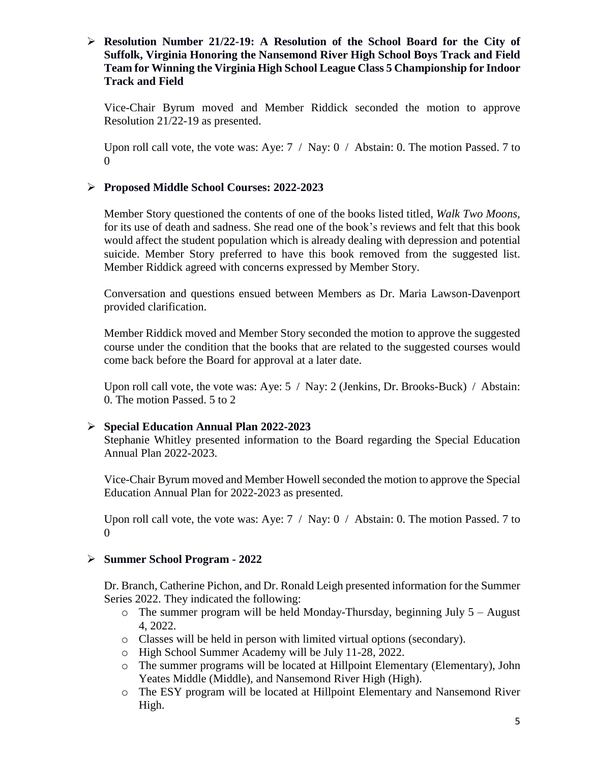### **Resolution Number 21/22-19: A Resolution of the School Board for the City of Suffolk, Virginia Honoring the Nansemond River High School Boys Track and Field Team for Winning the Virginia High School League Class 5 Championship for Indoor Track and Field**

Vice-Chair Byrum moved and Member Riddick seconded the motion to approve Resolution 21/22-19 as presented.

Upon roll call vote, the vote was: Aye: 7 / Nay: 0 / Abstain: 0. The motion Passed. 7 to  $\Omega$ 

#### **Proposed Middle School Courses: 2022-2023**

Member Story questioned the contents of one of the books listed titled, *Walk Two Moons,* for its use of death and sadness. She read one of the book's reviews and felt that this book would affect the student population which is already dealing with depression and potential suicide. Member Story preferred to have this book removed from the suggested list. Member Riddick agreed with concerns expressed by Member Story.

Conversation and questions ensued between Members as Dr. Maria Lawson-Davenport provided clarification.

Member Riddick moved and Member Story seconded the motion to approve the suggested course under the condition that the books that are related to the suggested courses would come back before the Board for approval at a later date.

Upon roll call vote, the vote was: Aye: 5 / Nay: 2 (Jenkins, Dr. Brooks-Buck) / Abstain: 0. The motion Passed. 5 to 2

#### **Special Education Annual Plan 2022-2023**

Stephanie Whitley presented information to the Board regarding the Special Education Annual Plan 2022-2023.

Vice-Chair Byrum moved and Member Howell seconded the motion to approve the Special Education Annual Plan for 2022-2023 as presented.

Upon roll call vote, the vote was: Aye:  $7 / \text{Nay: } 0 / \text{Abstain: } 0$ . The motion Passed. 7 to  $\Omega$ 

#### **Summer School Program - 2022**

Dr. Branch, Catherine Pichon, and Dr. Ronald Leigh presented information for the Summer Series 2022. They indicated the following:

- $\circ$  The summer program will be held Monday-Thursday, beginning July 5 August 4, 2022.
- o Classes will be held in person with limited virtual options (secondary).
- o High School Summer Academy will be July 11-28, 2022.
- o The summer programs will be located at Hillpoint Elementary (Elementary), John Yeates Middle (Middle), and Nansemond River High (High).
- o The ESY program will be located at Hillpoint Elementary and Nansemond River High.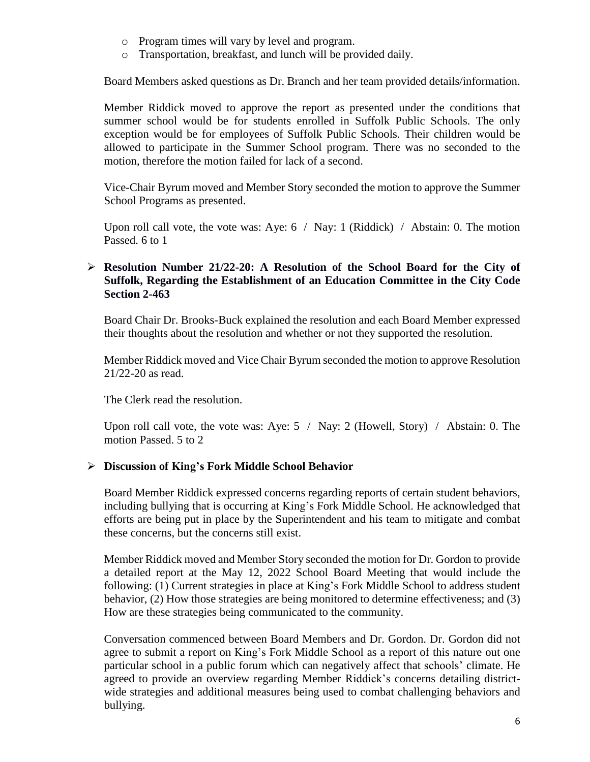- o Program times will vary by level and program.
- o Transportation, breakfast, and lunch will be provided daily.

Board Members asked questions as Dr. Branch and her team provided details/information.

Member Riddick moved to approve the report as presented under the conditions that summer school would be for students enrolled in Suffolk Public Schools. The only exception would be for employees of Suffolk Public Schools. Their children would be allowed to participate in the Summer School program. There was no seconded to the motion, therefore the motion failed for lack of a second.

Vice-Chair Byrum moved and Member Story seconded the motion to approve the Summer School Programs as presented.

Upon roll call vote, the vote was: Aye: 6 / Nay: 1 (Riddick) / Abstain: 0. The motion Passed. 6 to 1

### **Resolution Number 21/22-20: A Resolution of the School Board for the City of Suffolk, Regarding the Establishment of an Education Committee in the City Code Section 2-463**

Board Chair Dr. Brooks-Buck explained the resolution and each Board Member expressed their thoughts about the resolution and whether or not they supported the resolution.

Member Riddick moved and Vice Chair Byrum seconded the motion to approve Resolution 21/22-20 as read.

The Clerk read the resolution.

Upon roll call vote, the vote was: Aye: 5 / Nay: 2 (Howell, Story) / Abstain: 0. The motion Passed. 5 to 2

#### **Discussion of King's Fork Middle School Behavior**

Board Member Riddick expressed concerns regarding reports of certain student behaviors, including bullying that is occurring at King's Fork Middle School. He acknowledged that efforts are being put in place by the Superintendent and his team to mitigate and combat these concerns, but the concerns still exist.

Member Riddick moved and Member Story seconded the motion for Dr. Gordon to provide a detailed report at the May 12, 2022 School Board Meeting that would include the following: (1) Current strategies in place at King's Fork Middle School to address student behavior, (2) How those strategies are being monitored to determine effectiveness; and (3) How are these strategies being communicated to the community.

Conversation commenced between Board Members and Dr. Gordon. Dr. Gordon did not agree to submit a report on King's Fork Middle School as a report of this nature out one particular school in a public forum which can negatively affect that schools' climate. He agreed to provide an overview regarding Member Riddick's concerns detailing districtwide strategies and additional measures being used to combat challenging behaviors and bullying.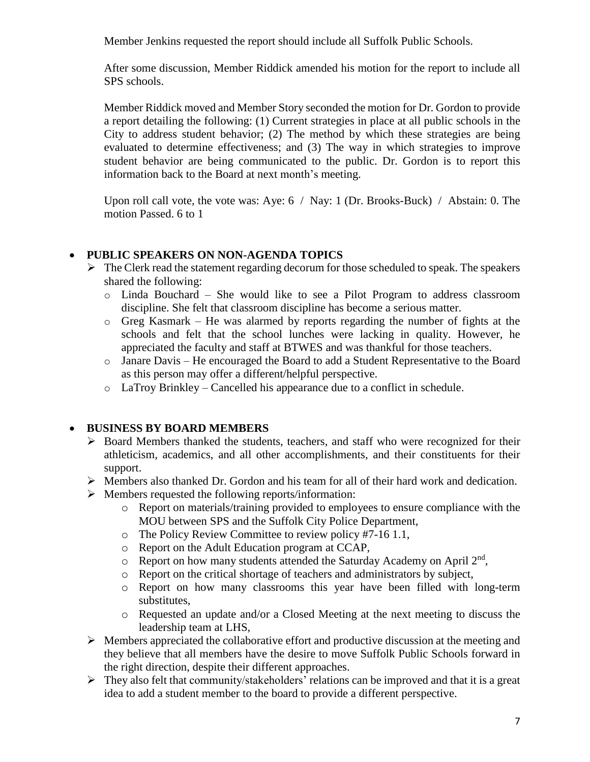Member Jenkins requested the report should include all Suffolk Public Schools.

After some discussion, Member Riddick amended his motion for the report to include all SPS schools.

Member Riddick moved and Member Story seconded the motion for Dr. Gordon to provide a report detailing the following: (1) Current strategies in place at all public schools in the City to address student behavior; (2) The method by which these strategies are being evaluated to determine effectiveness; and (3) The way in which strategies to improve student behavior are being communicated to the public. Dr. Gordon is to report this information back to the Board at next month's meeting.

Upon roll call vote, the vote was: Aye: 6 / Nay: 1 (Dr. Brooks-Buck) / Abstain: 0. The motion Passed. 6 to 1

### **PUBLIC SPEAKERS ON NON-AGENDA TOPICS**

- $\triangleright$  The Clerk read the statement regarding decorum for those scheduled to speak. The speakers shared the following:
	- o Linda Bouchard She would like to see a Pilot Program to address classroom discipline. She felt that classroom discipline has become a serious matter.
	- o Greg Kasmark He was alarmed by reports regarding the number of fights at the schools and felt that the school lunches were lacking in quality. However, he appreciated the faculty and staff at BTWES and was thankful for those teachers.
	- o Janare Davis He encouraged the Board to add a Student Representative to the Board as this person may offer a different/helpful perspective.
	- o LaTroy Brinkley Cancelled his appearance due to a conflict in schedule.

### **BUSINESS BY BOARD MEMBERS**

- $\triangleright$  Board Members thanked the students, teachers, and staff who were recognized for their athleticism, academics, and all other accomplishments, and their constituents for their support.
- $\triangleright$  Members also thanked Dr. Gordon and his team for all of their hard work and dedication.
- $\triangleright$  Members requested the following reports/information:
	- o Report on materials/training provided to employees to ensure compliance with the MOU between SPS and the Suffolk City Police Department,
	- o The Policy Review Committee to review policy #7-16 1.1,
	- o Report on the Adult Education program at CCAP,
	- $\circ$  Report on how many students attended the Saturday Academy on April  $2<sup>nd</sup>$ ,
	- o Report on the critical shortage of teachers and administrators by subject,
	- o Report on how many classrooms this year have been filled with long-term substitutes,
	- o Requested an update and/or a Closed Meeting at the next meeting to discuss the leadership team at LHS,
- $\triangleright$  Members appreciated the collaborative effort and productive discussion at the meeting and they believe that all members have the desire to move Suffolk Public Schools forward in the right direction, despite their different approaches.
- $\triangleright$  They also felt that community/stakeholders' relations can be improved and that it is a great idea to add a student member to the board to provide a different perspective.